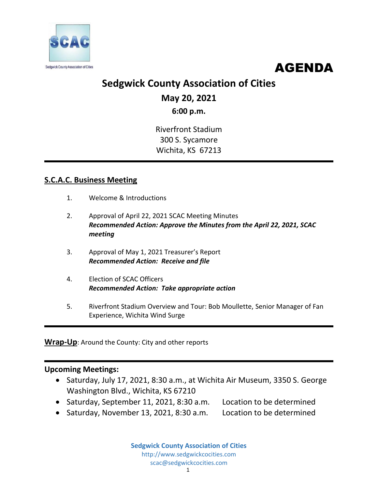



# **Sedgwick County Association of Cities**

**May 20, 2021**

**6:00 p.m.**

Riverfront Stadium 300 S. Sycamore Wichita, KS 67213

## **S.C.A.C. Business Meeting**

- 1. Welcome & Introductions
- 2. Approval of April 22, 2021 SCAC Meeting Minutes *Recommended Action: Approve the Minutes from the April 22, 2021, SCAC meeting*
- 3. Approval of May 1, 2021 Treasurer's Report *Recommended Action: Receive and file*
- 4. Election of SCAC Officers *Recommended Action: Take appropriate action*
- 5. Riverfront Stadium Overview and Tour: Bob Moullette, Senior Manager of Fan Experience, Wichita Wind Surge

**Wrap-Up**: Around the County: City and other reports

### **Upcoming Meetings:**

- Saturday, July 17, 2021, 8:30 a.m., at Wichita Air Museum, 3350 S. George Washington Blvd., Wichita, KS 67210
- Saturday, September 11, 2021, 8:30 a.m. Location to be determined
- Saturday, November 13, 2021, 8:30 a.m. Location to be determined

**Sedgwick County Association of Cities** http://www.sedgwickcocities.com scac@sedgwickcocities.com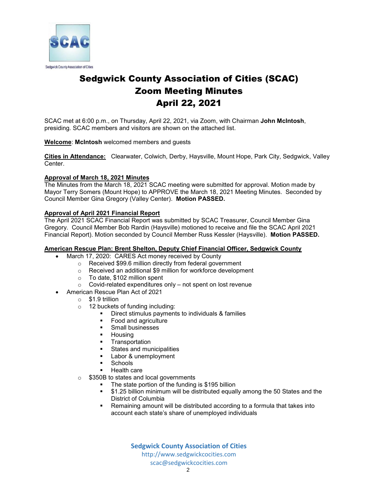

## Sedgwick County Association of Cities (SCAC) Zoom Meeting Minutes April 22, 2021

SCAC met at 6:00 p.m., on Thursday, April 22, 2021, via Zoom, with Chairman **John McIntosh**, presiding. SCAC members and visitors are shown on the attached list.

#### **Welcome**: **McIntosh** welcomed members and guests

**Cities in Attendance:** Clearwater, Colwich, Derby, Haysville, Mount Hope, Park City, Sedgwick, Valley Center.

#### **Approval of March 18, 2021 Minutes**

The Minutes from the March 18, 2021 SCAC meeting were submitted for approval. Motion made by Mayor Terry Somers (Mount Hope) to APPROVE the March 18, 2021 Meeting Minutes. Seconded by Council Member Gina Gregory (Valley Center). **Motion PASSED.** 

#### **Approval of April 2021 Financial Report**

The April 2021 SCAC Financial Report was submitted by SCAC Treasurer, Council Member Gina Gregory. Council Member Bob Rardin (Haysville) motioned to receive and file the SCAC April 2021 Financial Report). Motion seconded by Council Member Russ Kessler (Haysville). **Motion PASSED.**

#### **American Rescue Plan: Brent Shelton, Deputy Chief Financial Officer, Sedgwick County**

- March 17, 2020: CARES Act money received by County
	- o Received \$99.6 million directly from federal government
	- o Received an additional \$9 million for workforce development
	- o To date, \$102 million spent
	- $\circ$  Covid-related expenditures only not spent on lost revenue
- American Rescue Plan Act of 2021
	- o \$1.9 trillion
	- o 12 buckets of funding including:
		- Direct stimulus payments to individuals & families
		- **Food and agriculture**
		- **Small businesses**
		- **Housing**
		- **•** Transportation
		- **States and municipalities**
		- **Labor & unemployment**
		- **Schools**
		- Health care
	- \$350B to states and local governments
		- The state portion of the funding is \$195 billion
		- \$1.25 billion minimum will be distributed equally among the 50 States and the District of Columbia
		- Remaining amount will be distributed according to a formula that takes into account each state's share of unemployed individuals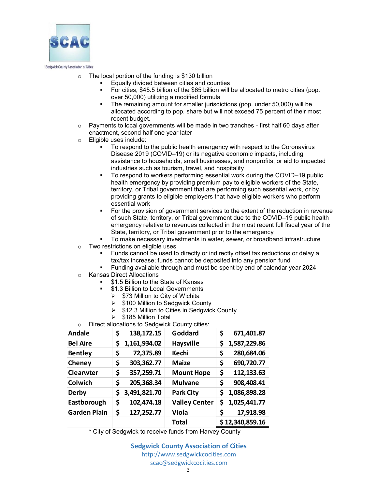

- $\circ$  The local portion of the funding is \$130 billion
	- Equally divided between cities and counties
	- For cities, \$45.5 billion of the \$65 billion will be allocated to metro cities (pop. over 50,000) utilizing a modified formula
	- The remaining amount for smaller jurisdictions (pop. under 50,000) will be allocated according to pop. share but will not exceed 75 percent of their most recent budget.
- $\circ$  Payments to local governments will be made in two tranches first half 60 days after enactment, second half one year later
- o Eligible uses include:
	- To respond to the public health emergency with respect to the Coronavirus Disease 2019 (COVID–19) or its negative economic impacts, including assistance to households, small businesses, and nonprofits, or aid to impacted industries such as tourism, travel, and hospitality
	- To respond to workers performing essential work during the COVID–19 public health emergency by providing premium pay to eligible workers of the State, territory, or Tribal government that are performing such essential work, or by providing grants to eligible employers that have eligible workers who perform essential work
	- For the provision of government services to the extent of the reduction in revenue of such State, territory, or Tribal government due to the COVID–19 public health emergency relative to revenues collected in the most recent full fiscal year of the State, territory, or Tribal government prior to the emergency
	- To make necessary investments in water, sewer, or broadband infrastructure
- o Two restrictions on eligible uses
	- Funds cannot be used to directly or indirectly offset tax reductions or delay a tax/tax increase; funds cannot be deposited into any pension fund
	- Funding available through and must be spent by end of calendar year 2024
- o Kansas Direct Allocations
	- \$1.5 Billion to the State of Kansas
		- \$1.3 Billion to Local Governments
			- $\triangleright$  \$73 Million to City of Wichita
			- $\triangleright$  \$100 Million to Sedgwick County
			- $\geq$  \$12.3 Million to Cities in Sedgwick County
	- $\geq$  \$185 Million Total
- o Direct allocations to Sedgwick County cities:

| <b>Andale</b>       | \$<br>138,172.15   | Goddard              | \$<br>671,401.87    |
|---------------------|--------------------|----------------------|---------------------|
| <b>Bel Aire</b>     | 1,161,934.02<br>\$ | <b>Haysville</b>     | \$<br>1,587,229.86  |
| <b>Bentley</b>      | \$<br>72,375.89    | <b>Kechi</b>         | 280,684.06<br>\$    |
| Cheney              | \$<br>303,362.77   | <b>Maize</b>         | 690,720.77<br>\$    |
| Clearwter           | \$<br>357,259.71   | <b>Mount Hope</b>    | 112,133.63<br>\$    |
| Colwich             | \$<br>205,368.34   | <b>Mulvane</b>       | \$<br>908,408.41    |
| <b>Derby</b>        | 3,491,821.70<br>\$ | <b>Park City</b>     | 1,086,898.28<br>\$. |
| Eastborough         | \$<br>102,474.18   | <b>Valley Center</b> | \$1,025,441.77      |
| <b>Garden Plain</b> | \$<br>127,252.77   | <b>Viola</b>         | \$<br>17,918.98     |
|                     |                    | <b>Total</b>         | \$12,340,859.16     |

\* City of Sedgwick to receive funds from Harvey County

**Sedgwick County Association of Cities** http://www.sedgwickcocities.com scac@sedgwickcocities.com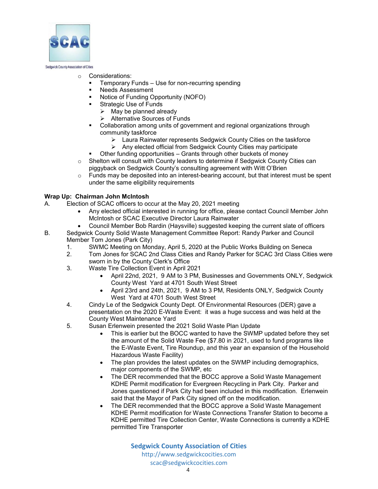

#### Sedgwick County Association of Cities

- o Considerations:
	- Temporary Funds Use for non-recurring spending
	- Needs Assessment
	- Notice of Funding Opportunity (NOFO)
	- Strategic Use of Funds
		- $\triangleright$  May be planned already
		- Alternative Sources of Funds
	- Collaboration among units of government and regional organizations through community taskforce
		- Laura Rainwater represents Sedgwick County Cities on the taskforce
		- $\triangleright$  Any elected official from Sedawick County Cities may participate
		- Other funding opportunities Grants through other buckets of money
- $\circ$  Shelton will consult with County leaders to determine if Sedgwick County Cities can piggyback on Sedgwick County's consulting agreement with Witt O'Brien
- o Funds may be deposited into an interest-bearing account, but that interest must be spent under the same eligibility requirements

#### **Wrap Up: Chairman John McIntosh**

- A. Election of SCAC officers to occur at the May 20, 2021 meeting
	- Any elected official interested in running for office, please contact Council Member John McIntosh or SCAC Executive Director Laura Rainwater
	- Council Member Bob Rardin (Haysville) suggested keeping the current slate of officers
- B. Sedgwick County Solid Waste Management Committee Report: Randy Parker and Council Member Tom Jones (Park City)
	- 1. SWMC Meeting on Monday, April 5, 2020 at the Public Works Building on Seneca
	- 2. Tom Jones for SCAC 2nd Class Cities and Randy Parker for SCAC 3rd Class Cities were sworn in by the County Clerk's Office
	- 3. Waste Tire Collection Event in April 2021
		- April 22nd, 2021, 9 AM to 3 PM, Businesses and Governments ONLY, Sedgwick County West Yard at 4701 South West Street
		- April 23rd and 24th, 2021, 9 AM to 3 PM, Residents ONLY, Sedgwick County West Yard at 4701 South West Street
	- 4. Cindy Le of the Sedgwick County Dept. Of Environmental Resources (DER) gave a presentation on the 2020 E-Waste Event: it was a huge success and was held at the County West Maintenance Yard
	- 5. Susan Erlenwein presented the 2021 Solid Waste Plan Update
		- This is earlier but the BOCC wanted to have the SWMP updated before they set the amount of the Solid Waste Fee (\$7.80 in 2021, used to fund programs like the E-Waste Event, Tire Roundup, and this year an expansion of the Household Hazardous Waste Facility)
		- The plan provides the latest updates on the SWMP including demographics, major components of the SWMP, etc
		- The DER recommended that the BOCC approve a Solid Waste Management KDHE Permit modification for Evergreen Recycling in Park City. Parker and Jones questioned if Park City had been included in this modification. Erlenwein said that the Mayor of Park City signed off on the modification.
		- The DER recommended that the BOCC approve a Solid Waste Management KDHE Permit modification for Waste Connections Transfer Station to become a KDHE permitted Tire Collection Center, Waste Connections is currently a KDHE permitted Tire Transporter

**Sedgwick County Association of Cities** http://www.sedgwickcocities.com scac@sedgwickcocities.com